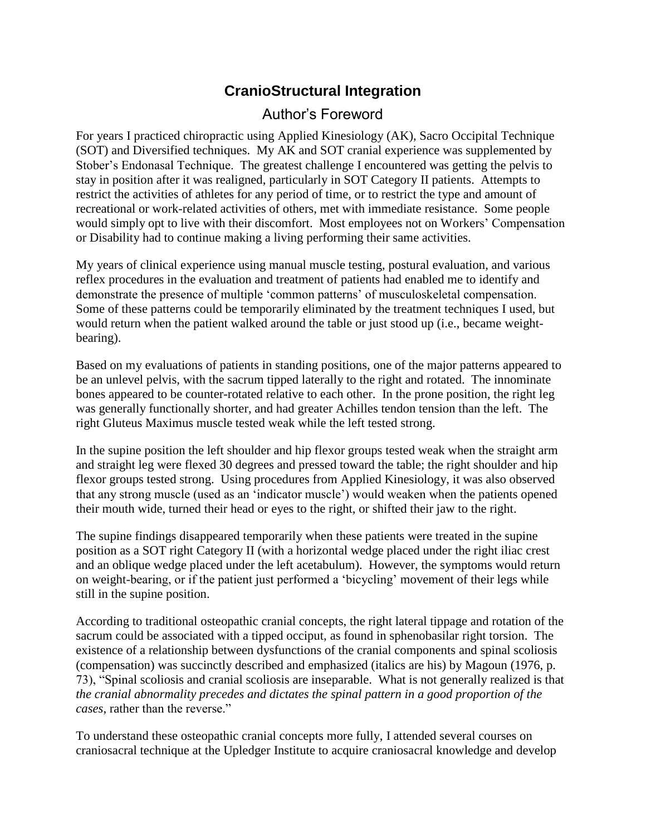## **CranioStructural Integration**

## Author's Foreword

For years I practiced chiropractic using Applied Kinesiology (AK), Sacro Occipital Technique (SOT) and Diversified techniques. My AK and SOT cranial experience was supplemented by Stober's Endonasal Technique. The greatest challenge I encountered was getting the pelvis to stay in position after it was realigned, particularly in SOT Category II patients. Attempts to restrict the activities of athletes for any period of time, or to restrict the type and amount of recreational or work-related activities of others, met with immediate resistance. Some people would simply opt to live with their discomfort. Most employees not on Workers' Compensation or Disability had to continue making a living performing their same activities.

My years of clinical experience using manual muscle testing, postural evaluation, and various reflex procedures in the evaluation and treatment of patients had enabled me to identify and demonstrate the presence of multiple 'common patterns' of musculoskeletal compensation. Some of these patterns could be temporarily eliminated by the treatment techniques I used, but would return when the patient walked around the table or just stood up (i.e., became weightbearing).

Based on my evaluations of patients in standing positions, one of the major patterns appeared to be an unlevel pelvis, with the sacrum tipped laterally to the right and rotated. The innominate bones appeared to be counter-rotated relative to each other. In the prone position, the right leg was generally functionally shorter, and had greater Achilles tendon tension than the left. The right Gluteus Maximus muscle tested weak while the left tested strong.

In the supine position the left shoulder and hip flexor groups tested weak when the straight arm and straight leg were flexed 30 degrees and pressed toward the table; the right shoulder and hip flexor groups tested strong. Using procedures from Applied Kinesiology, it was also observed that any strong muscle (used as an 'indicator muscle') would weaken when the patients opened their mouth wide, turned their head or eyes to the right, or shifted their jaw to the right.

The supine findings disappeared temporarily when these patients were treated in the supine position as a SOT right Category II (with a horizontal wedge placed under the right iliac crest and an oblique wedge placed under the left acetabulum). However, the symptoms would return on weight-bearing, or if the patient just performed a 'bicycling' movement of their legs while still in the supine position.

According to traditional osteopathic cranial concepts, the right lateral tippage and rotation of the sacrum could be associated with a tipped occiput, as found in sphenobasilar right torsion. The existence of a relationship between dysfunctions of the cranial components and spinal scoliosis (compensation) was succinctly described and emphasized (italics are his) by Magoun (1976, p. 73), "Spinal scoliosis and cranial scoliosis are inseparable. What is not generally realized is that *the cranial abnormality precedes and dictates the spinal pattern in a good proportion of the cases*, rather than the reverse."

To understand these osteopathic cranial concepts more fully, I attended several courses on craniosacral technique at the Upledger Institute to acquire craniosacral knowledge and develop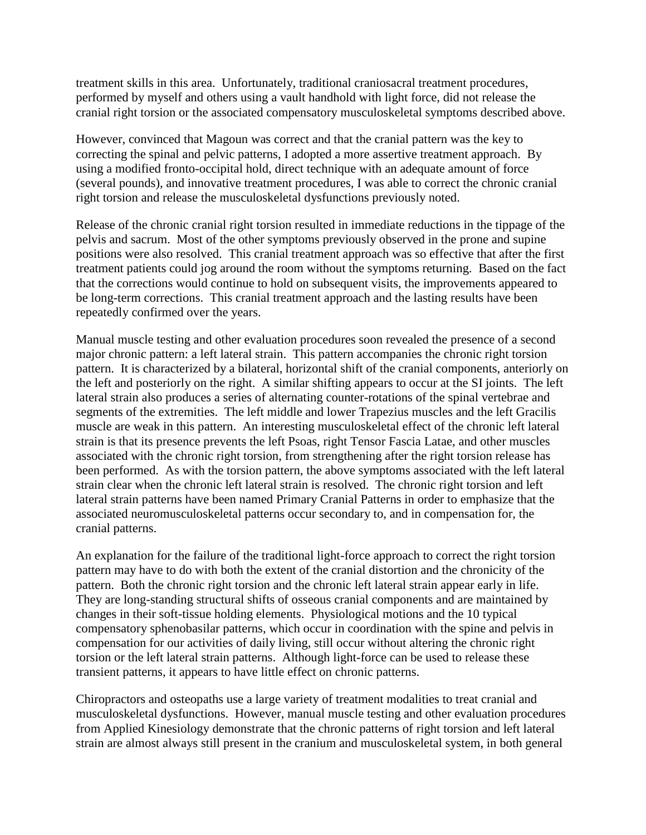treatment skills in this area. Unfortunately, traditional craniosacral treatment procedures, performed by myself and others using a vault handhold with light force, did not release the cranial right torsion or the associated compensatory musculoskeletal symptoms described above.

However, convinced that Magoun was correct and that the cranial pattern was the key to correcting the spinal and pelvic patterns, I adopted a more assertive treatment approach. By using a modified fronto-occipital hold, direct technique with an adequate amount of force (several pounds), and innovative treatment procedures, I was able to correct the chronic cranial right torsion and release the musculoskeletal dysfunctions previously noted.

Release of the chronic cranial right torsion resulted in immediate reductions in the tippage of the pelvis and sacrum. Most of the other symptoms previously observed in the prone and supine positions were also resolved. This cranial treatment approach was so effective that after the first treatment patients could jog around the room without the symptoms returning. Based on the fact that the corrections would continue to hold on subsequent visits, the improvements appeared to be long-term corrections. This cranial treatment approach and the lasting results have been repeatedly confirmed over the years.

Manual muscle testing and other evaluation procedures soon revealed the presence of a second major chronic pattern: a left lateral strain. This pattern accompanies the chronic right torsion pattern. It is characterized by a bilateral, horizontal shift of the cranial components, anteriorly on the left and posteriorly on the right. A similar shifting appears to occur at the SI joints. The left lateral strain also produces a series of alternating counter-rotations of the spinal vertebrae and segments of the extremities. The left middle and lower Trapezius muscles and the left Gracilis muscle are weak in this pattern. An interesting musculoskeletal effect of the chronic left lateral strain is that its presence prevents the left Psoas, right Tensor Fascia Latae, and other muscles associated with the chronic right torsion, from strengthening after the right torsion release has been performed. As with the torsion pattern, the above symptoms associated with the left lateral strain clear when the chronic left lateral strain is resolved. The chronic right torsion and left lateral strain patterns have been named Primary Cranial Patterns in order to emphasize that the associated neuromusculoskeletal patterns occur secondary to, and in compensation for, the cranial patterns.

An explanation for the failure of the traditional light-force approach to correct the right torsion pattern may have to do with both the extent of the cranial distortion and the chronicity of the pattern. Both the chronic right torsion and the chronic left lateral strain appear early in life. They are long-standing structural shifts of osseous cranial components and are maintained by changes in their soft-tissue holding elements. Physiological motions and the 10 typical compensatory sphenobasilar patterns, which occur in coordination with the spine and pelvis in compensation for our activities of daily living, still occur without altering the chronic right torsion or the left lateral strain patterns. Although light-force can be used to release these transient patterns, it appears to have little effect on chronic patterns.

Chiropractors and osteopaths use a large variety of treatment modalities to treat cranial and musculoskeletal dysfunctions. However, manual muscle testing and other evaluation procedures from Applied Kinesiology demonstrate that the chronic patterns of right torsion and left lateral strain are almost always still present in the cranium and musculoskeletal system, in both general